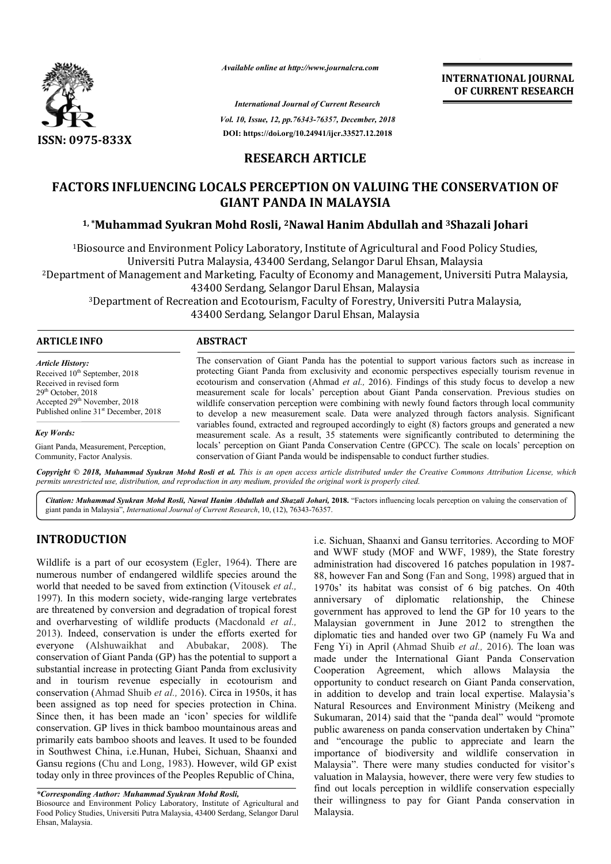

*Available online at http://www.journalcra.com*

*Vol. 10, Issue, 12, pp. pp.76343-76357, December, 2018 International Journal of Current Research* **DOI: https://doi.org/10.24941/ijcr.33527.12.2018**

**INTERNATIONAL JOURNAL OF CURRENT RESEARCH**

## **RESEARCH ARTICLE**

# **FACTORS INFLUENCING LOCALS PERCEPTION ON VALUING THE CONSERVATION OF GIANT PANDA IN MALAYSIA**

## <sup>1,</sup>\*Muhammad Syukran Mohd Rosli, <sup>2</sup>Nawal Hanim Abdullah and <sup>3</sup>Shazali Johari

<sup>1</sup>Biosource and Environment Policy Laboratory, Institute of Agricultural and Food Policy Studies, Universiti Putra Malaysia, 43400 Serdang, Selangor Darul Ehsan, Malaysia <sup>1</sup>Biosource and Environment Policy Laboratory, Institute of Agricultural and Food Policy Studies,<br>Universiti Putra Malaysia, 43400 Serdang, Selangor Darul Ehsan, Malaysia<br>2Department of Management and Marketing, Faculty o 43400 Serdang, Selangor Darul Ehsan, Malaysia

<sup>3</sup>Department of Recreation and Ecotourism, Faculty of Forestry, Universiti Putra Malaysia, 43400 Serdang, Selangor Darul Ehsan, Malaysia

| <b>ARTICLE INFO</b>                                                                                                                                                                                                      | <b>ABSTRACT</b>                                                                                                                                                                                                                                                                                                                                                                                                                                                                                                                                                                                                    |
|--------------------------------------------------------------------------------------------------------------------------------------------------------------------------------------------------------------------------|--------------------------------------------------------------------------------------------------------------------------------------------------------------------------------------------------------------------------------------------------------------------------------------------------------------------------------------------------------------------------------------------------------------------------------------------------------------------------------------------------------------------------------------------------------------------------------------------------------------------|
| <b>Article History:</b><br>Received 10 <sup>th</sup> September, 2018<br>Received in revised form<br>$29th$ October, 2018<br>Accepted 29 <sup>th</sup> November, 2018<br>Published online 31 <sup>st</sup> December, 2018 | The conservation of Giant Panda has the potential to support various factors such as increase in<br>protecting Giant Panda from exclusivity and economic perspectives especially tourism revenue in<br>ecotourism and conservation (Ahmad <i>et al.</i> , 2016). Findings of this study focus to develop a new<br>measurement scale for locals' perception about Giant Panda conservation. Previous studies on<br>wildlife conservation perception were combining with newly found factors through local community<br>to develop a new measurement scale. Data were analyzed through factors analysis. Significant |
| Key Words:                                                                                                                                                                                                               | variables found, extracted and regrouped accordingly to eight (8) factors groups and generated a new<br>measurement scale. As a result, 35 statements were significantly contributed to determining the                                                                                                                                                                                                                                                                                                                                                                                                            |
| Giant Panda, Measurement, Perception,<br>Community, Factor Analysis.                                                                                                                                                     | locals' perception on Giant Panda Conservation Centre (GPCC). The scale on locals' perception on<br>conservation of Giant Panda would be indispensable to conduct further studies.                                                                                                                                                                                                                                                                                                                                                                                                                                 |
|                                                                                                                                                                                                                          | <b>Convright © 2018. Muhammad Syukran Mohd Rosli et al.</b> This is an open access article distributed under the Creative Commons Attribution License, which                                                                                                                                                                                                                                                                                                                                                                                                                                                       |

*Copyright © 2018, Muhammad Syukran Mohd Rosli et al permits unrestricted use, distribution, and reproduction al. This is an open access article distributed under the Creative in any medium, provided the original work is properly cited. Creative Commons Attribution License, which*

Citation: Muhammad Syukran Mohd Rosli, Nawal Hanim Abdullah and Shazali Johari, 2018. "Factors influencing locals perception on valuing the conservation of giant panda in Malaysia", *International Journal of Current Research* , 10, (12), 76343-76357.

# **INTRODUCTION**

Wildlife is a part of our ecosystem (Egler, 1964). There are numerous number of endangered wildlife species around the world that needed to be saved from extinction ( (Vitousek *et al.,*  1997). In this modern society, wide-ranging large vertebrates are threatened by conversion and degradation of tropical forest and overharvesting of wildlife products (Macdonald et al., 2013). Indeed, conservation is under the efforts exerted for 2013). Indeed, conservation is under the efforts exerted for<br>everyone (Alshuwaikhat and Abubakar, 2008). The conservation of Giant Panda (GP) has the potential to support a substantial increase in protecting Giant Panda from exclusivity and in tourism revenue especially in ecotourism and conservation (Ahmad Shuib *et al.,* 2016). Circa in 1950s, it has conservation (Ahmad Shuib *et al.*, 2016). Circa in 1950s, it has been assigned as top need for species protection in China. Since then, it has been made an 'icon' species for wildlife conservation. GP lives in thick bamboo mountainous areas and primarily eats bamboo shoots and leaves. It used to be founded in Southwest China, i.e.Hunan, Hubei, Sichuan, Shaanxi and Gansu regions (Chu and Long, 1983). However, wild GP exist today only in three provinces of the Peoples Republic of China,

i.e. Sichuan, Shaanxi and Gansu territories. According to MOF and WWF study (MOF and WWF, 1989), the State forestry administration had discovered 16 patches population in 1987 88, however Fan and Song (Fan and Song, 1998) argued that in 1970s' its habitat was consist of 6 big patches. On 40th anniversary of diplomatic relationship, the Chinese 1970s' its habitat was consist of 6 big patches. On 40th anniversary of diplomatic relationship, the Chinese government has approved to lend the GP for 10 years to the Malaysian government in June 2012 to strengthen the diplomatic ties and handed over two GP (namely Fu Wa and Malaysian government in June 2012 to strengthen the diplomatic ties and handed over two GP (namely Fu Wa and Feng Yi) in April (Ahmad Shuib *et al.*, 2016). The loan was made under the International Giant Panda Conservation made under the International Giant Panda Conservation<br>Cooperation Agreement, which allows Malaysia the opportunity to conduct research on Giant Panda conservation, in addition to develop and train local expertise. Malaysia's Natural Resources and Environment Ministry (Meikeng and opportunity to conduct research on Giant Panda conservation, in addition to develop and train local expertise. Malaysia's Natural Resources and Environment Ministry (Meikeng and Sukumaran, 2014) said that the "panda deal" public awareness on panda conservation undertaken by China" and "encourage the public to appreciate and learn the importance of biodiversity and wildlife conservation in Malaysia". There were many studies conducted for visitor's valuation in Malaysia, however, there were very few studies to find out locals perception in wildlife conservation especially their willingness to pay for Giant Panda conservation in Malaysia. Gansu territories. According to MOF study (MOF and WWF, 1989), the State forestry<br>on had discovered 16 patches population in 1987-**INTERNATIONAL JOURNAL FORMATIONAL JOURNAL FORMATION CONSERVATION OF CURRENT RESEARCH (CONSERVATION OF STATIS)** *Proprime 2018*<br> **ARTICLE**<br> **DN ON VALUING THE CONSERVATION OF NMALAYSIA**<br> **ARTICLE**<br> **DN ON VALUING THE CONSE** 

*<sup>\*</sup>Corresponding Author: Muhammad Syukran Mohd Rosli,*

Biosource and Environment Policy Laboratory, Institute of Agricultural and Food Policy Studies, Universiti Putra Malaysia, 43400 Serdang, Selangor Darul Ehsan, Malaysia.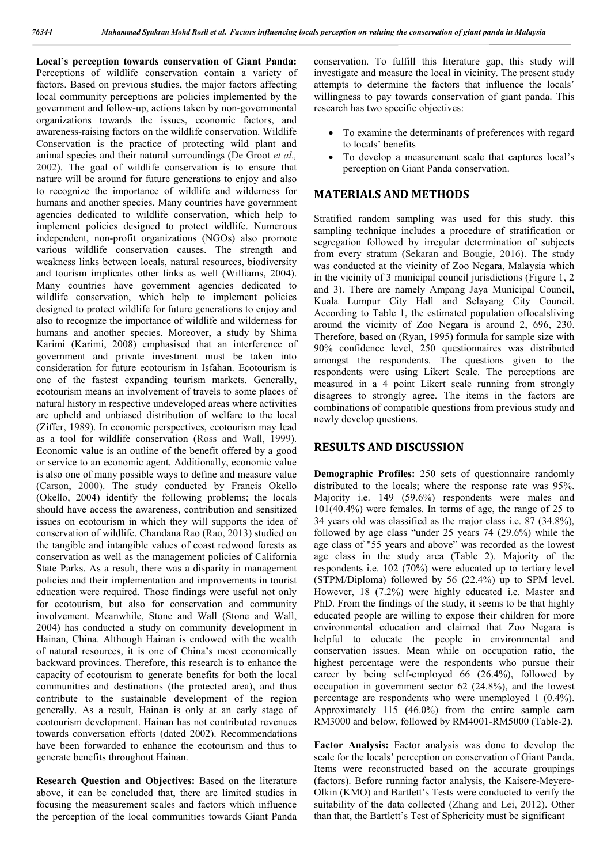**Local's perception towards conservation of Giant Panda:**  Perceptions of wildlife conservation contain a variety of factors. Based on previous studies, the major factors affecting local community perceptions are policies implemented by the government and follow-up, actions taken by non-governmental organizations towards the issues, economic factors, and awareness-raising factors on the wildlife conservation. Wildlife Conservation is the practice of protecting wild plant and animal species and their natural surroundings (De Groot *et al.,*  2002). The goal of wildlife conservation is to ensure that nature will be around for future generations to enjoy and also to recognize the importance of wildlife and wilderness for humans and another species. Many countries have government agencies dedicated to wildlife conservation, which help to implement policies designed to protect wildlife. Numerous independent, non-profit organizations (NGOs) also promote various wildlife conservation causes. The strength and weakness links between locals, natural resources, biodiversity and tourism implicates other links as well (Williams, 2004). Many countries have government agencies dedicated to wildlife conservation, which help to implement policies designed to protect wildlife for future generations to enjoy and also to recognize the importance of wildlife and wilderness for humans and another species. Moreover, a study by Shima Karimi (Karimi, 2008) emphasised that an interference of government and private investment must be taken into consideration for future ecotourism in Isfahan. Ecotourism is one of the fastest expanding tourism markets. Generally, ecotourism means an involvement of travels to some places of natural history in respective undeveloped areas where activities are upheld and unbiased distribution of welfare to the local (Ziffer, 1989). In economic perspectives, ecotourism may lead as a tool for wildlife conservation (Ross and Wall, 1999). Economic value is an outline of the benefit offered by a good or service to an economic agent. Additionally, economic value is also one of many possible ways to define and measure value (Carson, 2000). The study conducted by Francis Okello (Okello, 2004) identify the following problems; the locals should have access the awareness, contribution and sensitized issues on ecotourism in which they will supports the idea of conservation of wildlife. Chandana Rao (Rao, 2013) studied on the tangible and intangible values of coast redwood forests as conservation as well as the management policies of California State Parks. As a result, there was a disparity in management policies and their implementation and improvements in tourist education were required. Those findings were useful not only for ecotourism, but also for conservation and community involvement. Meanwhile, Stone and Wall (Stone and Wall, 2004) has conducted a study on community development in Hainan, China. Although Hainan is endowed with the wealth of natural resources, it is one of China's most economically backward provinces. Therefore, this research is to enhance the capacity of ecotourism to generate benefits for both the local communities and destinations (the protected area), and thus contribute to the sustainable development of the region generally. As a result, Hainan is only at an early stage of ecotourism development. Hainan has not contributed revenues towards conversation efforts (dated 2002). Recommendations have been forwarded to enhance the ecotourism and thus to generate benefits throughout Hainan.

**Research Question and Objectives:** Based on the literature above, it can be concluded that, there are limited studies in focusing the measurement scales and factors which influence the perception of the local communities towards Giant Panda conservation. To fulfill this literature gap, this study will investigate and measure the local in vicinity. The present study attempts to determine the factors that influence the locals' willingness to pay towards conservation of giant panda. This research has two specific objectives:

- To examine the determinants of preferences with regard to locals' benefits
- To develop a measurement scale that captures local's perception on Giant Panda conservation.

### **MATERIALS AND METHODS**

Stratified random sampling was used for this study. this sampling technique includes a procedure of stratification or segregation followed by irregular determination of subjects from every stratum (Sekaran and Bougie, 2016). The study was conducted at the vicinity of Zoo Negara, Malaysia which in the vicinity of 3 municipal council jurisdictions (Figure 1, 2 and 3). There are namely Ampang Jaya Municipal Council, Kuala Lumpur City Hall and Selayang City Council. According to Table 1, the estimated population oflocalsliving around the vicinity of Zoo Negara is around 2, 696, 230. Therefore, based on (Ryan, 1995) formula for sample size with 90% confidence level, 250 questionnaires was distributed amongst the respondents. The questions given to the respondents were using Likert Scale. The perceptions are measured in a 4 point Likert scale running from strongly disagrees to strongly agree. The items in the factors are combinations of compatible questions from previous study and newly develop questions.

### **RESULTS AND DISCUSSION**

**Demographic Profiles:** 250 sets of questionnaire randomly distributed to the locals; where the response rate was 95%. Majority i.e. 149 (59.6%) respondents were males and 101(40.4%) were females. In terms of age, the range of 25 to 34 years old was classified as the major class i.e. 87 (34.8%), followed by age class "under 25 years 74 (29.6%) while the age class of "55 years and above" was recorded as the lowest age class in the study area (Table 2). Majority of the respondents i.e. 102 (70%) were educated up to tertiary level (STPM/Diploma) followed by 56 (22.4%) up to SPM level. However, 18 (7.2%) were highly educated i.e. Master and PhD. From the findings of the study, it seems to be that highly educated people are willing to expose their children for more environmental education and claimed that Zoo Negara is helpful to educate the people in environmental and conservation issues. Mean while on occupation ratio, the highest percentage were the respondents who pursue their career by being self-employed 66 (26.4%), followed by occupation in government sector 62 (24.8%), and the lowest percentage are respondents who were unemployed 1 (0.4%). Approximately 115 (46.0%) from the entire sample earn RM3000 and below, followed by RM4001-RM5000 (Table-2).

**Factor Analysis:** Factor analysis was done to develop the scale for the locals' perception on conservation of Giant Panda. Items were reconstructed based on the accurate groupings (factors). Before running factor analysis, the Kaisere-Meyere-Olkin (KMO) and Bartlett's Tests were conducted to verify the suitability of the data collected (Zhang and Lei, 2012). Other than that, the Bartlett's Test of Sphericity must be significant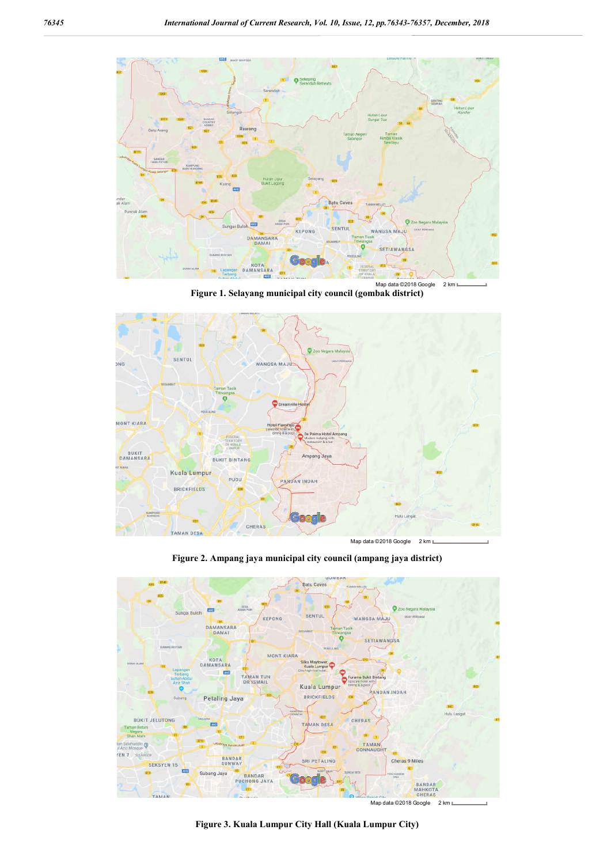

**Figure 1. Selayang municipal city council (gombak district)**



Map data ©2018 Google 2 km

**Figure 2. Ampang jaya municipal city council (ampang jaya district)**



**Figure 3. Kuala Lumpur City Hall (Kuala Lumpur City)**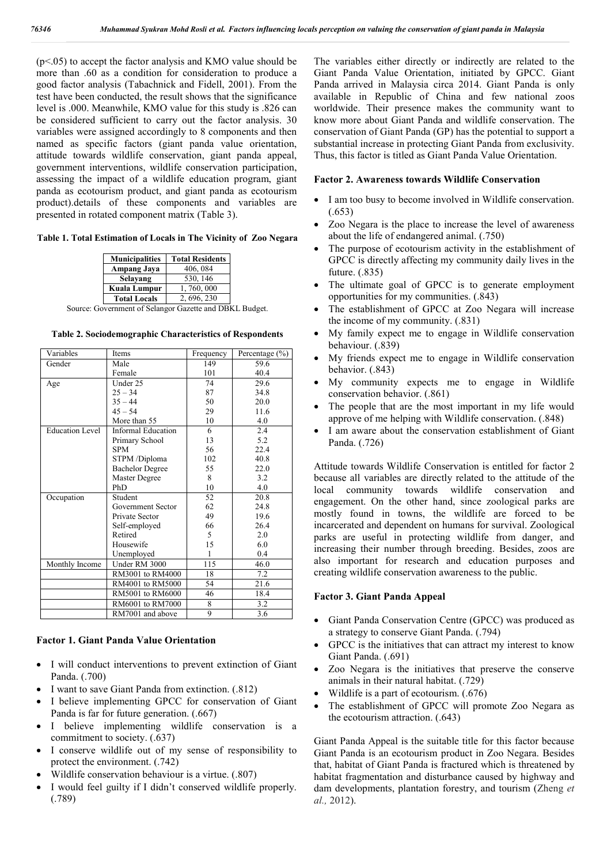(p<.05) to accept the factor analysis and KMO value should be more than .60 as a condition for consideration to produce a good factor analysis (Tabachnick and Fidell, 2001). From the test have been conducted, the result shows that the significance level is .000. Meanwhile, KMO value for this study is .826 can be considered sufficient to carry out the factor analysis. 30 variables were assigned accordingly to 8 components and then named as specific factors (giant panda value orientation, attitude towards wildlife conservation, giant panda appeal, government interventions, wildlife conservation participation, assessing the impact of a wildlife education program, giant panda as ecotourism product, and giant panda as ecotourism product).details of these components and variables are presented in rotated component matrix (Table 3).

**Table 1. Total Estimation of Locals in The Vicinity of Zoo Negara**

| <b>Municipalities</b> | <b>Total Residents</b> |
|-----------------------|------------------------|
| <b>Ampang Jaya</b>    | 406, 084               |
| Selavang              | 530, 146               |
| Kuala Lumpur          | 1,760,000              |
| <b>Total Locals</b>   | 2, 696, 230            |

Source: Government of Selangor Gazette and DBKL Budget.

**Table 2. Sociodemographic Characteristics of Respondents**

| Variables              | Items                     | Frequency       | Percentage $(\% )$ |
|------------------------|---------------------------|-----------------|--------------------|
| Gender                 | Male                      | 149             | 59.6               |
|                        | Female                    | 101             | 40.4               |
| Age                    | Under 25                  | 74              | 29.6               |
|                        | $25 - 34$                 | 87              | 34.8               |
|                        | $35 - 44$                 | 50              | 20.0               |
|                        | $45 - 54$                 | 29              | 11.6               |
|                        | More than 55              | 10              | 4.0                |
| <b>Education Level</b> | <b>Informal Education</b> | 6               | 2.4                |
|                        | Primary School            | 13              | 5.2                |
|                        | <b>SPM</b>                | 56              | 22.4               |
|                        | STPM/Diploma              | 102             | 40.8               |
|                        | <b>Bachelor Degree</b>    | 55              | 22.0               |
|                        | Master Degree             | 8               | 3.2                |
|                        | PhD                       | 10              | 4.0                |
| Occupation             | Student                   | $\overline{52}$ | 20.8               |
|                        | Government Sector         | 62              | 24.8               |
|                        | Private Sector            | 49              | 19.6               |
|                        | Self-employed             | 66              | 26.4               |
|                        | Retired                   | 5               | 2.0                |
|                        | Housewife                 | 15              | 6.0                |
|                        | Unemployed                | 1               | 0.4                |
| Monthly Income         | Under RM 3000             | 115             | 46.0               |
|                        | RM3001 to RM4000          | 18              | 7.2                |
|                        | RM4001 to RM5000          | 54              | 21.6               |
|                        | RM5001 to RM6000          | 46              | 18.4               |
|                        | RM6001 to RM7000          | 8               | 3.2                |
|                        | RM7001 and above          | 9               | 3.6                |

#### **Factor 1. Giant Panda Value Orientation**

- I will conduct interventions to prevent extinction of Giant Panda. (.700)
- I want to save Giant Panda from extinction. (.812)
- I believe implementing GPCC for conservation of Giant Panda is far for future generation. (.667)
- I believe implementing wildlife conservation is a commitment to society. (.637)
- I conserve wildlife out of my sense of responsibility to protect the environment. (.742)
- Wildlife conservation behaviour is a virtue. (.807)
- I would feel guilty if I didn't conserved wildlife properly. (.789)

The variables either directly or indirectly are related to the Giant Panda Value Orientation, initiated by GPCC. Giant Panda arrived in Malaysia circa 2014. Giant Panda is only available in Republic of China and few national zoos worldwide. Their presence makes the community want to know more about Giant Panda and wildlife conservation. The conservation of Giant Panda (GP) has the potential to support a substantial increase in protecting Giant Panda from exclusivity. Thus, this factor is titled as Giant Panda Value Orientation.

#### **Factor 2. Awareness towards Wildlife Conservation**

- I am too busy to become involved in Wildlife conservation. (.653)
- Zoo Negara is the place to increase the level of awareness about the life of endangered animal. (.750)
- The purpose of ecotourism activity in the establishment of GPCC is directly affecting my community daily lives in the future. (.835)
- The ultimate goal of GPCC is to generate employment opportunities for my communities. (.843)
- The establishment of GPCC at Zoo Negara will increase the income of my community. (.831)
- My family expect me to engage in Wildlife conservation behaviour. (.839)
- My friends expect me to engage in Wildlife conservation behavior. (.843)
- My community expects me to engage in Wildlife conservation behavior. (.861)
- The people that are the most important in my life would approve of me helping with Wildlife conservation. (.848)
- I am aware about the conservation establishment of Giant Panda. (.726)

Attitude towards Wildlife Conservation is entitled for factor 2 because all variables are directly related to the attitude of the local community towards wildlife conservation and engagement. On the other hand, since zoological parks are mostly found in towns, the wildlife are forced to be incarcerated and dependent on humans for survival. Zoological parks are useful in protecting wildlife from danger, and increasing their number through breeding. Besides, zoos are also important for research and education purposes and creating wildlife conservation awareness to the public.

#### **Factor 3. Giant Panda Appeal**

- Giant Panda Conservation Centre (GPCC) was produced as a strategy to conserve Giant Panda. (.794)
- GPCC is the initiatives that can attract my interest to know Giant Panda. (.691)
- Zoo Negara is the initiatives that preserve the conserve animals in their natural habitat. (.729)
- Wildlife is a part of ecotourism. (.676)
- The establishment of GPCC will promote Zoo Negara as the ecotourism attraction. (.643)

Giant Panda Appeal is the suitable title for this factor because Giant Panda is an ecotourism product in Zoo Negara. Besides that, habitat of Giant Panda is fractured which is threatened by habitat fragmentation and disturbance caused by highway and dam developments, plantation forestry, and tourism (Zheng *et al.,* 2012).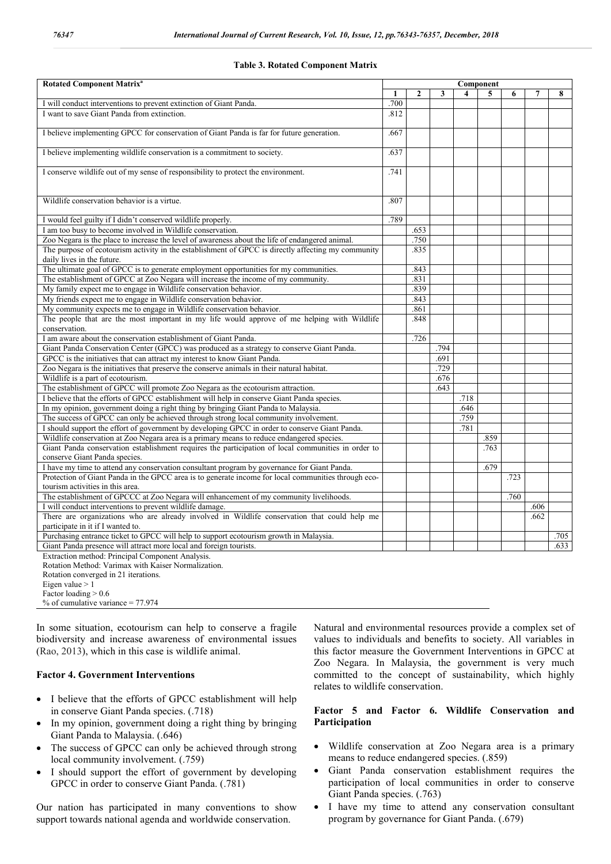#### **Table 3. Rotated Component Matrix**

| <b>Rotated Component Matrix<sup>a</sup></b>                                                         | Component    |              |      |      |      |      |      |      |
|-----------------------------------------------------------------------------------------------------|--------------|--------------|------|------|------|------|------|------|
|                                                                                                     | $\mathbf{1}$ | $\mathbf{2}$ | 3    | 4    | 5    | 6    | 7    | 8    |
| I will conduct interventions to prevent extinction of Giant Panda.                                  | .700         |              |      |      |      |      |      |      |
| I want to save Giant Panda from extinction.                                                         | .812         |              |      |      |      |      |      |      |
| I believe implementing GPCC for conservation of Giant Panda is far for future generation.           | .667         |              |      |      |      |      |      |      |
| I believe implementing wildlife conservation is a commitment to society.                            | .637         |              |      |      |      |      |      |      |
| I conserve wildlife out of my sense of responsibility to protect the environment.                   | .741         |              |      |      |      |      |      |      |
| Wildlife conservation behavior is a virtue.                                                         | .807         |              |      |      |      |      |      |      |
| I would feel guilty if I didn't conserved wildlife properly.                                        | .789         |              |      |      |      |      |      |      |
| I am too busy to become involved in Wildlife conservation.                                          |              | .653         |      |      |      |      |      |      |
| Zoo Negara is the place to increase the level of awareness about the life of endangered animal.     |              | .750         |      |      |      |      |      |      |
| The purpose of ecotourism activity in the establishment of GPCC is directly affecting my community  |              | .835         |      |      |      |      |      |      |
| daily lives in the future.                                                                          |              |              |      |      |      |      |      |      |
| The ultimate goal of GPCC is to generate employment opportunities for my communities.               |              | .843         |      |      |      |      |      |      |
| The establishment of GPCC at Zoo Negara will increase the income of my community.                   |              | .831         |      |      |      |      |      |      |
| My family expect me to engage in Wildlife conservation behavior.                                    |              | .839         |      |      |      |      |      |      |
| My friends expect me to engage in Wildlife conservation behavior.                                   |              | .843         |      |      |      |      |      |      |
| My community expects me to engage in Wildlife conservation behavior.                                |              | .861         |      |      |      |      |      |      |
| The people that are the most important in my life would approve of me helping with Wildlife         |              | .848         |      |      |      |      |      |      |
| conservation.                                                                                       |              |              |      |      |      |      |      |      |
| I am aware about the conservation establishment of Giant Panda.                                     |              | .726         |      |      |      |      |      |      |
| Giant Panda Conservation Center (GPCC) was produced as a strategy to conserve Giant Panda.          |              |              | .794 |      |      |      |      |      |
| GPCC is the initiatives that can attract my interest to know Giant Panda.                           |              |              | .691 |      |      |      |      |      |
| Zoo Negara is the initiatives that preserve the conserve animals in their natural habitat.          |              |              | .729 |      |      |      |      |      |
| Wildlife is a part of ecotourism.                                                                   |              |              | .676 |      |      |      |      |      |
| The establishment of GPCC will promote Zoo Negara as the ecotourism attraction.                     |              |              | .643 |      |      |      |      |      |
| I believe that the efforts of GPCC establishment will help in conserve Giant Panda species.         |              |              |      | .718 |      |      |      |      |
| In my opinion, government doing a right thing by bringing Giant Panda to Malaysia.                  |              |              |      | .646 |      |      |      |      |
| The success of GPCC can only be achieved through strong local community involvement.                |              |              |      | .759 |      |      |      |      |
| I should support the effort of government by developing GPCC in order to conserve Giant Panda.      |              |              |      | .781 |      |      |      |      |
| Wildlife conservation at Zoo Negara area is a primary means to reduce endangered species.           |              |              |      |      | .859 |      |      |      |
| Giant Panda conservation establishment requires the participation of local communities in order to  |              |              |      |      | .763 |      |      |      |
| conserve Giant Panda species.                                                                       |              |              |      |      |      |      |      |      |
| I have my time to attend any conservation consultant program by governance for Giant Panda.         |              |              |      |      | .679 |      |      |      |
| Protection of Giant Panda in the GPCC area is to generate income for local communities through eco- |              |              |      |      |      | .723 |      |      |
| tourism activities in this area.                                                                    |              |              |      |      |      |      |      |      |
| The establishment of GPCCC at Zoo Negara will enhancement of my community livelihoods.              |              |              |      |      |      | .760 |      |      |
| I will conduct interventions to prevent wildlife damage.                                            |              |              |      |      |      |      | .606 |      |
| There are organizations who are already involved in Wildlife conservation that could help me        |              |              |      |      |      |      | .662 |      |
| participate in it if I wanted to.                                                                   |              |              |      |      |      |      |      |      |
| Purchasing entrance ticket to GPCC will help to support ecotourism growth in Malaysia.              |              |              |      |      |      |      |      | .705 |
| Giant Panda presence will attract more local and foreign tourists.                                  |              |              |      |      |      |      |      | .633 |
| Extraction method: Principal Component Analysis.                                                    |              |              |      |      |      |      |      |      |
| Rotation Method: Varimax with Kaiser Normalization.                                                 |              |              |      |      |      |      |      |      |
| Rotation converged in 21 iterations.                                                                |              |              |      |      |      |      |      |      |
| Eigen value $> 1$                                                                                   |              |              |      |      |      |      |      |      |
| Factor loading $> 0.6$                                                                              |              |              |      |      |      |      |      |      |

% of cumulative variance = 77.974

In some situation, ecotourism can help to conserve a fragile biodiversity and increase awareness of environmental issues (Rao, 2013), which in this case is wildlife animal.

#### **Factor 4. Government Interventions**

- I believe that the efforts of GPCC establishment will help in conserve Giant Panda species. (.718)
- In my opinion, government doing a right thing by bringing Giant Panda to Malaysia. (.646)
- The success of GPCC can only be achieved through strong local community involvement. (.759)
- I should support the effort of government by developing GPCC in order to conserve Giant Panda. (.781)

Our nation has participated in many conventions to show support towards national agenda and worldwide conservation.

Natural and environmental resources provide a complex set of values to individuals and benefits to society. All variables in this factor measure the Government Interventions in GPCC at Zoo Negara. In Malaysia, the government is very much committed to the concept of sustainability, which highly relates to wildlife conservation.

#### **Factor 5 and Factor 6. Wildlife Conservation and Participation**

- Wildlife conservation at Zoo Negara area is a primary means to reduce endangered species. (.859)
- Giant Panda conservation establishment requires the participation of local communities in order to conserve Giant Panda species. (.763)
- I have my time to attend any conservation consultant program by governance for Giant Panda. (.679)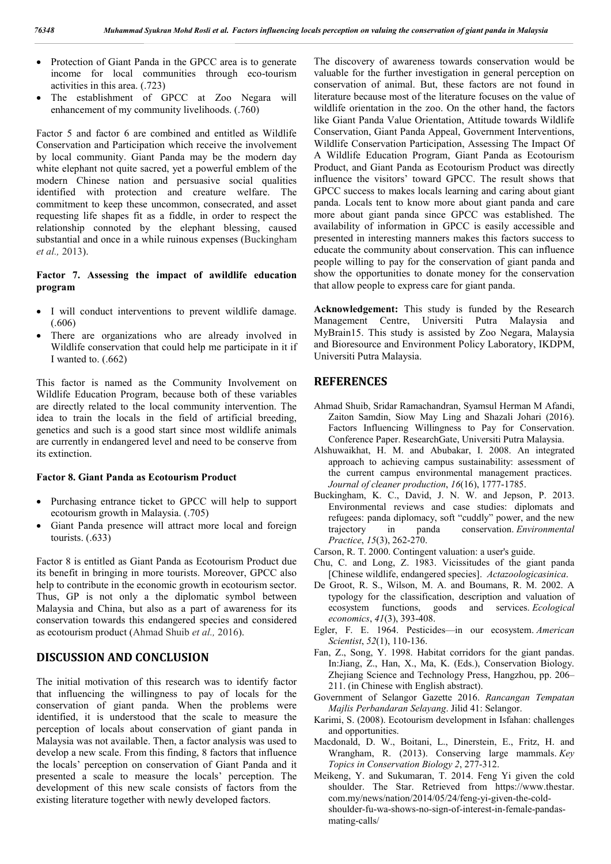- Protection of Giant Panda in the GPCC area is to generate income for local communities through eco-tourism activities in this area. (.723)
- The establishment of GPCC at Zoo Negara will enhancement of my community livelihoods. (.760)

Factor 5 and factor 6 are combined and entitled as Wildlife Conservation and Participation which receive the involvement by local community. Giant Panda may be the modern day white elephant not quite sacred, yet a powerful emblem of the modern Chinese nation and persuasive social qualities identified with protection and creature welfare. The commitment to keep these uncommon, consecrated, and asset requesting life shapes fit as a fiddle, in order to respect the relationship connoted by the elephant blessing, caused substantial and once in a while ruinous expenses (Buckingham *et al.,* 2013).

### **Factor 7. Assessing the impact of awildlife education program**

- I will conduct interventions to prevent wildlife damage. (.606)
- There are organizations who are already involved in Wildlife conservation that could help me participate in it if I wanted to. (.662)

This factor is named as the Community Involvement on Wildlife Education Program, because both of these variables are directly related to the local community intervention. The idea to train the locals in the field of artificial breeding, genetics and such is a good start since most wildlife animals are currently in endangered level and need to be conserve from its extinction.

#### **Factor 8. Giant Panda as Ecotourism Product**

- Purchasing entrance ticket to GPCC will help to support ecotourism growth in Malaysia. (.705)
- Giant Panda presence will attract more local and foreign tourists. (.633)

Factor 8 is entitled as Giant Panda as Ecotourism Product due its benefit in bringing in more tourists. Moreover, GPCC also help to contribute in the economic growth in ecotourism sector. Thus, GP is not only a the diplomatic symbol between Malaysia and China, but also as a part of awareness for its conservation towards this endangered species and considered as ecotourism product (Ahmad Shuib *et al.,* 2016).

### **DISCUSSION AND CONCLUSION**

The initial motivation of this research was to identify factor that influencing the willingness to pay of locals for the conservation of giant panda. When the problems were identified, it is understood that the scale to measure the perception of locals about conservation of giant panda in Malaysia was not available. Then, a factor analysis was used to develop a new scale. From this finding, 8 factors that influence the locals' perception on conservation of Giant Panda and it presented a scale to measure the locals' perception. The development of this new scale consists of factors from the existing literature together with newly developed factors.

The discovery of awareness towards conservation would be valuable for the further investigation in general perception on conservation of animal. But, these factors are not found in literature because most of the literature focuses on the value of wildlife orientation in the zoo. On the other hand, the factors like Giant Panda Value Orientation, Attitude towards Wildlife Conservation, Giant Panda Appeal, Government Interventions, Wildlife Conservation Participation, Assessing The Impact Of A Wildlife Education Program, Giant Panda as Ecotourism Product, and Giant Panda as Ecotourism Product was directly influence the visitors' toward GPCC. The result shows that GPCC success to makes locals learning and caring about giant panda. Locals tent to know more about giant panda and care more about giant panda since GPCC was established. The availability of information in GPCC is easily accessible and presented in interesting manners makes this factors success to educate the community about conservation. This can influence people willing to pay for the conservation of giant panda and show the opportunities to donate money for the conservation that allow people to express care for giant panda.

**Acknowledgement:** This study is funded by the Research Management Centre, Universiti Putra Malaysia and MyBrain15. This study is assisted by Zoo Negara, Malaysia and Bioresource and Environment Policy Laboratory, IKDPM, Universiti Putra Malaysia.

### **REFERENCES**

- Ahmad Shuib, Sridar Ramachandran, Syamsul Herman M Afandi, Zaiton Samdin, Siow May Ling and Shazali Johari (2016). Factors Influencing Willingness to Pay for Conservation. Conference Paper. ResearchGate, Universiti Putra Malaysia.
- Alshuwaikhat, H. M. and Abubakar, I. 2008. An integrated approach to achieving campus sustainability: assessment of the current campus environmental management practices. *Journal of cleaner production*, *16*(16), 1777-1785.
- Buckingham, K. C., David, J. N. W. and Jepson, P. 2013. Environmental reviews and case studies: diplomats and refugees: panda diplomacy, soft "cuddly" power, and the new trajectory in panda conservation. *Environmental Practice*, *15*(3), 262-270.
- Carson, R. T. 2000. Contingent valuation: a user's guide.
- Chu, C. and Long, Z. 1983. Vicissitudes of the giant panda [Chinese wildlife, endangered species]. *Actazoologicasinica*.
- De Groot, R. S., Wilson, M. A. and Boumans, R. M. 2002. A typology for the classification, description and valuation of ecosystem functions, goods and services. *Ecological economics*, *41*(3), 393-408.
- Egler, F. E. 1964. Pesticides—in our ecosystem. *American Scientist*, *52*(1), 110-136.
- Fan, Z., Song, Y. 1998. Habitat corridors for the giant pandas. In:Jiang, Z., Han, X., Ma, K. (Eds.), Conservation Biology. Zhejiang Science and Technology Press, Hangzhou, pp. 206– 211. (in Chinese with English abstract).
- Government of Selangor Gazette 2016. *Rancangan Tempatan Majlis Perbandaran Selayang*. Jilid 41: Selangor.
- Karimi, S. (2008). Ecotourism development in Isfahan: challenges and opportunities.
- Macdonald, D. W., Boitani, L., Dinerstein, E., Fritz, H. and Wrangham, R. (2013). Conserving large mammals. *Key Topics in Conservation Biology 2*, 277-312.
- Meikeng, Y. and Sukumaran, T. 2014. Feng Yi given the cold shoulder. The Star. Retrieved from https://www.thestar. com.my/news/nation/2014/05/24/feng-yi-given-the-coldshoulder-fu-wa-shows-no-sign-of-interest-in-female-pandasmating-calls/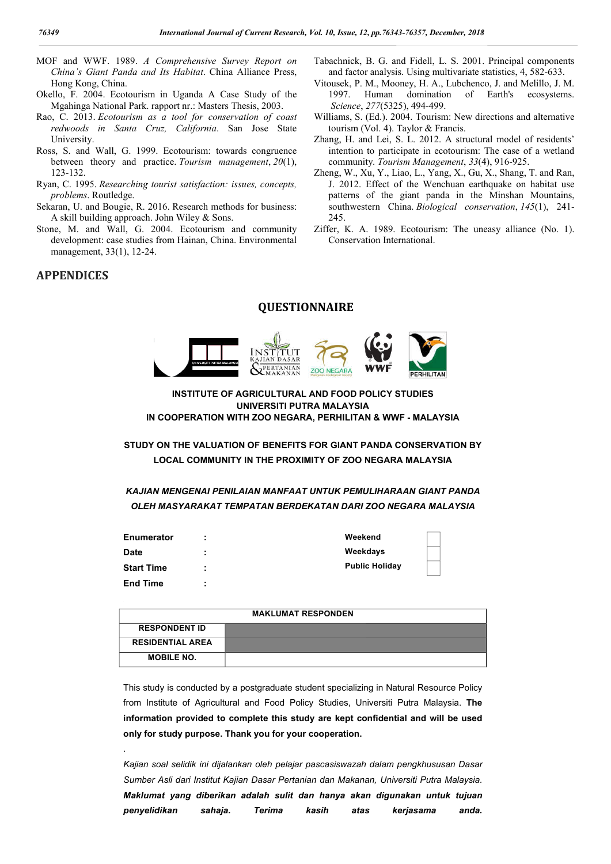MOF and WWF. 1989. *A Comprehensive Survey Report on China's Giant Panda and Its Habitat*. China Alliance Press, Hong Kong, China.

- Okello, F. 2004. Ecotourism in Uganda A Case Study of the Mgahinga National Park. rapport nr.: Masters Thesis, 2003.
- Rao, C. 2013. *Ecotourism as a tool for conservation of coast redwoods in Santa Cruz, California*. San Jose State University.
- Ross, S. and Wall, G. 1999. Ecotourism: towards congruence between theory and practice. *Tourism management*, *20*(1), 123-132.
- Ryan, C. 1995. *Researching tourist satisfaction: issues, concepts, problems*. Routledge.
- Sekaran, U. and Bougie, R. 2016. Research methods for business: A skill building approach. John Wiley & Sons.
- Stone, M. and Wall, G. 2004. Ecotourism and community development: case studies from Hainan, China. Environmental management, 33(1), 12-24.

.

- Tabachnick, B. G. and Fidell, L. S. 2001. Principal components and factor analysis. Using multivariate statistics, 4, 582-633. Vitousek, P. M., Mooney, H. A., Lubchenco, J. and Melillo, J. M.
- 1997. Human domination of Earth's ecosystems. *Science*, *277*(5325), 494-499.
- Williams, S. (Ed.). 2004. Tourism: New directions and alternative tourism (Vol. 4). Taylor & Francis.
- Zhang, H. and Lei, S. L. 2012. A structural model of residents' intention to participate in ecotourism: The case of a wetland community. *Tourism Management*, *33*(4), 916-925.
- Zheng, W., Xu, Y., Liao, L., Yang, X., Gu, X., Shang, T. and Ran, J. 2012. Effect of the Wenchuan earthquake on habitat use patterns of the giant panda in the Minshan Mountains, southwestern China. *Biological conservation*, *145*(1), 241- 245.
- Ziffer, K. A. 1989. Ecotourism: The uneasy alliance (No. 1). Conservation International.

### **APPENDICES**

#### **QUESTIONNAIRE**



**INSTITUTE OF AGRICULTURAL AND FOOD POLICY STUDIES UNIVERSITI PUTRA MALAYSIA IN COOPERATION WITH ZOO NEGARA, PERHILITAN & WWF - MALAYSIA**

**STUDY ON THE VALUATION OF BENEFITS FOR GIANT PANDA CONSERVATION BY LOCAL COMMUNITY IN THE PROXIMITY OF ZOO NEGARA MALAYSIA**

### *KAJIAN MENGENAI PENILAIAN MANFAAT UNTUK PEMULIHARAAN GIANT PANDA OLEH MASYARAKAT TEMPATAN BERDEKATAN DARI ZOO NEGARA MALAYSIA*

| <b>Enumerator</b> | ٠<br>$\blacksquare$ | Weekend               |
|-------------------|---------------------|-----------------------|
| <b>Date</b>       | $\blacksquare$      | Weekdays              |
| <b>Start Time</b> | ٠<br>$\blacksquare$ | <b>Public Holiday</b> |
| <b>End Time</b>   | ÷                   |                       |

| <b>MAKLUMAT RESPONDEN</b> |  |  |  |
|---------------------------|--|--|--|
| <b>RESPONDENT ID</b>      |  |  |  |
| <b>RESIDENTIAL AREA</b>   |  |  |  |
| <b>MOBILE NO.</b>         |  |  |  |

This study is conducted by a postgraduate student specializing in Natural Resource Policy from Institute of Agricultural and Food Policy Studies, Universiti Putra Malaysia. **The information provided to complete this study are kept confidential and will be used only for study purpose. Thank you for your cooperation.**

*Kajian soal selidik ini dijalankan oleh pelajar pascasiswazah dalam pengkhususan Dasar Sumber Asli dari Institut Kajian Dasar Pertanian dan Makanan, Universiti Putra Malaysia. Maklumat yang diberikan adalah sulit dan hanya akan digunakan untuk tujuan penyelidikan sahaja. Terima kasih atas kerjasama anda.*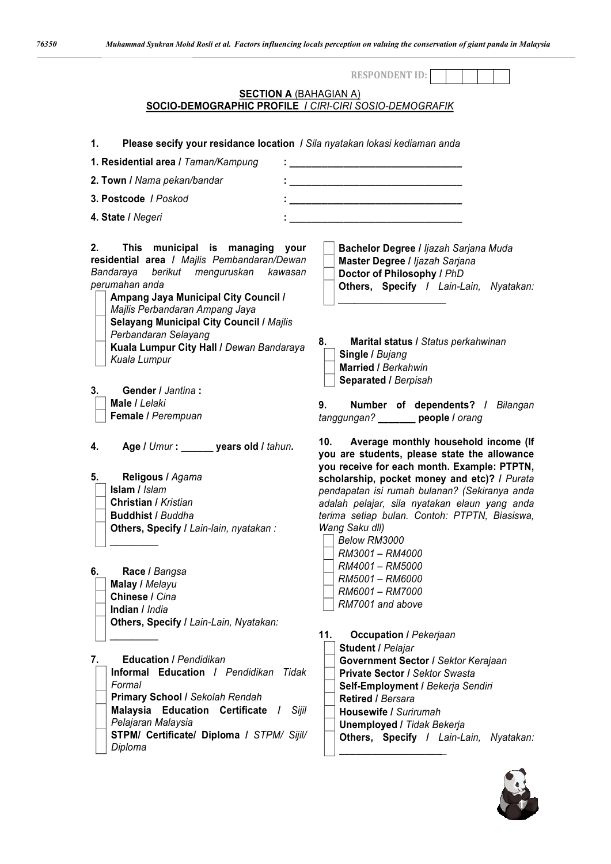| <b>SECTION A (BAHAGIAN A)</b><br>SOCIO-DEMOGRAPHIC PROFILE   CIRI-CIRI SOSIO-DEMOGRAFIK                                                                                                                                                                                                                                                                                                           | <b>RESPONDENT ID:</b>                                                                                                                                                                                                                                                                                                                                                                                                                                      |
|---------------------------------------------------------------------------------------------------------------------------------------------------------------------------------------------------------------------------------------------------------------------------------------------------------------------------------------------------------------------------------------------------|------------------------------------------------------------------------------------------------------------------------------------------------------------------------------------------------------------------------------------------------------------------------------------------------------------------------------------------------------------------------------------------------------------------------------------------------------------|
| Please secify your residance location / Sila nyatakan lokasi kediaman anda<br>1.<br>1. Residential area / Taman/Kampung<br>2. Town / Nama pekan/bandar                                                                                                                                                                                                                                            | <u> 1989 - Johann John Stone, mars eta biztanleria (</u>                                                                                                                                                                                                                                                                                                                                                                                                   |
| 3. Postcode / Poskod                                                                                                                                                                                                                                                                                                                                                                              | <u> 1989 - Johann Barn, mars ann an t-Amhain an t-Amhain an t-Amhain an t-Amhain an t-Amhain an t-Amhain an t-Amh</u>                                                                                                                                                                                                                                                                                                                                      |
| 4. State / Negeri                                                                                                                                                                                                                                                                                                                                                                                 |                                                                                                                                                                                                                                                                                                                                                                                                                                                            |
| 2.<br>This municipal is managing your<br>residential area / Majlis Pembandaran/Dewan<br>Bandaraya<br>berikut menguruskan<br>kawasan<br>perumahan anda<br>Ampang Jaya Municipal City Council /<br>Majlis Perbandaran Ampang Jaya<br><b>Selayang Municipal City Council / Majlis</b><br>Perbandaran Selayang<br>Kuala Lumpur City Hall / Dewan Bandaraya<br>Kuala Lumpur<br>Gender / Jantina:<br>3. | Bachelor Degree / Ijazah Sarjana Muda<br>Master Degree / Ijazah Sarjana<br>Doctor of Philosophy / PhD<br>Others, Specify / Lain-Lain, Nyatakan:<br>8.<br>Marital status / Status perkahwinan<br>Single / Bujang<br><b>Married / Berkahwin</b><br><b>Separated / Berpisah</b>                                                                                                                                                                               |
| Male / Lelaki<br>Female / Perempuan                                                                                                                                                                                                                                                                                                                                                               | Number of dependents? / Bilangan<br>9.                                                                                                                                                                                                                                                                                                                                                                                                                     |
| Age / Umur: ______ years old / tahun.<br>4.<br>5.<br>Religous / Agama<br>Islam / Islam<br>Christian / Kristian<br><b>Buddhist / Buddha</b><br>Others, Specify / Lain-lain, nyatakan :<br>Race / Bangsa<br>6.                                                                                                                                                                                      | tanggungan? ______ people / orang<br>Average monthly household income (If<br>10.<br>you are students, please state the allowance<br>you receive for each month. Example: PTPTN,<br>scholarship, pocket money and etc)? / Purata<br>pendapatan isi rumah bulanan? (Sekiranya anda<br>adalah pelajar, sila nyatakan elaun yang anda<br>terima setiap bulan. Contoh: PTPTN, Biasiswa,<br>Wang Saku dll)<br>Below RM3000<br>RM3001 - RM4000<br>RM4001 - RM5000 |
| <b>Malay / Melayu</b>                                                                                                                                                                                                                                                                                                                                                                             | RM5001 - RM6000                                                                                                                                                                                                                                                                                                                                                                                                                                            |
| Chinese / Cina<br>Indian / India<br>Others, Specify / Lain-Lain, Nyatakan:                                                                                                                                                                                                                                                                                                                        | RM6001 - RM7000<br>RM7001 and above<br>11.<br><b>Occupation / Pekerjaan</b>                                                                                                                                                                                                                                                                                                                                                                                |
|                                                                                                                                                                                                                                                                                                                                                                                                   | <b>Student / Pelajar</b>                                                                                                                                                                                                                                                                                                                                                                                                                                   |
| <b>Education / Pendidikan</b><br>7.<br>Informal Education / Pendidikan<br>Tidak<br>Formal<br>Primary School / Sekolah Rendah<br>Malaysia Education Certificate /<br>Sijil<br>Pelajaran Malaysia<br>STPM/ Certificate/ Diploma / STPM/ Sijil/<br>Diploma                                                                                                                                           | Government Sector / Sektor Kerajaan<br><b>Private Sector / Sektor Swasta</b><br>Self-Employment / Bekerja Sendiri<br>Retired / Bersara<br><b>Housewife / Surirumah</b><br><b>Unemployed / Tidak Bekerja</b><br>Others, Specify / Lain-Lain, Nyatakan:                                                                                                                                                                                                      |

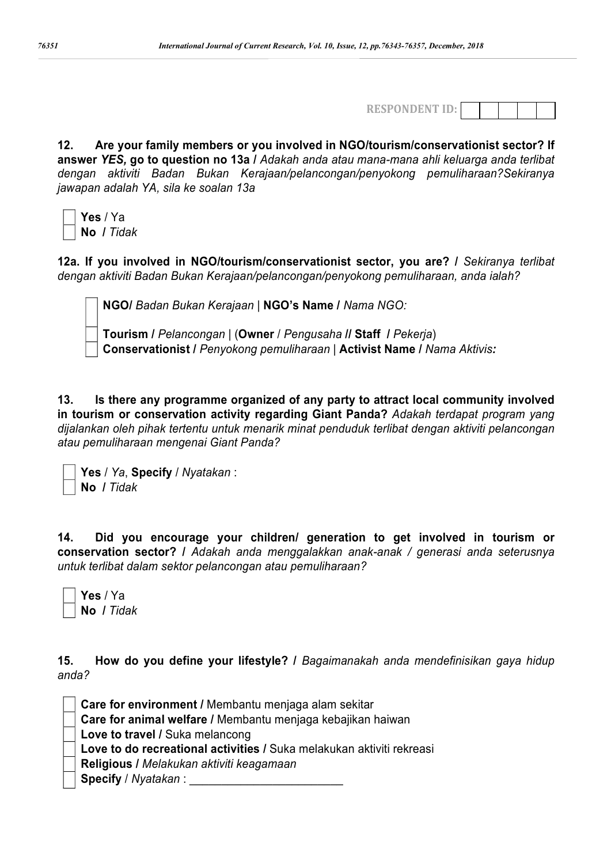| <b>RESPONDENT ID:</b> |  |  |  |
|-----------------------|--|--|--|
|-----------------------|--|--|--|

**12. Are your family members or you involved in NGO/tourism/conservationist sector? If answer** *YES,* **go to question no 13a /** *Adakah anda atau mana-mana ahli keluarga anda terlibat dengan aktiviti Badan Bukan Kerajaan/pelancongan/penyokong pemuliharaan?Sekiranya jawapan adalah YA, sila ke soalan 13a*

| Yes / Ya                 |
|--------------------------|
| <b>No</b> <i>  Tidak</i> |

**12a. If you involved in NGO/tourism/conservationist sector, you are? /** *Sekiranya terlibat dengan aktiviti Badan Bukan Kerajaan/pelancongan/penyokong pemuliharaan, anda ialah?*

**NGO/** *Badan Bukan Kerajaan* | **NGO's Name /** *Nama NGO:*

**Tourism /** *Pelancongan* | (**Owner** / *Pengusaha* **// Staff /** *Pekerja*) **Conservationist /** *Penyokong pemuliharaan* | **Activist Name /** *Nama Aktivis:*

**13. Is there any programme organized of any party to attract local community involved in tourism or conservation activity regarding Giant Panda?** *Adakah terdapat program yang dijalankan oleh pihak tertentu untuk menarik minat penduduk terlibat dengan aktiviti pelancongan atau pemuliharaan mengenai Giant Panda?*

**Yes** / *Ya*, **Specify** / *Nyatakan* : **No /** *Tidak*

**14. Did you encourage your children/ generation to get involved in tourism or conservation sector? /** *Adakah anda menggalakkan anak-anak / generasi anda seterusnya untuk terlibat dalam sektor pelancongan atau pemuliharaan?*

| Yes / Ya |            |
|----------|------------|
|          | No / Tidak |

**15. How do you define your lifestyle? /** *Bagaimanakah anda mendefinisikan gaya hidup anda?*

**Care for environment /** Membantu menjaga alam sekitar **Care for animal welfare /** Membantu menjaga kebajikan haiwan **Love to travel /** Suka melancong **Love to do recreational activities /** Suka melakukan aktiviti rekreasi **Religious /** *Melakukan aktiviti keagamaan* **Specify** / *Nyatakan* : \_\_\_\_\_\_\_\_\_\_\_\_\_\_\_\_\_\_\_\_\_\_\_\_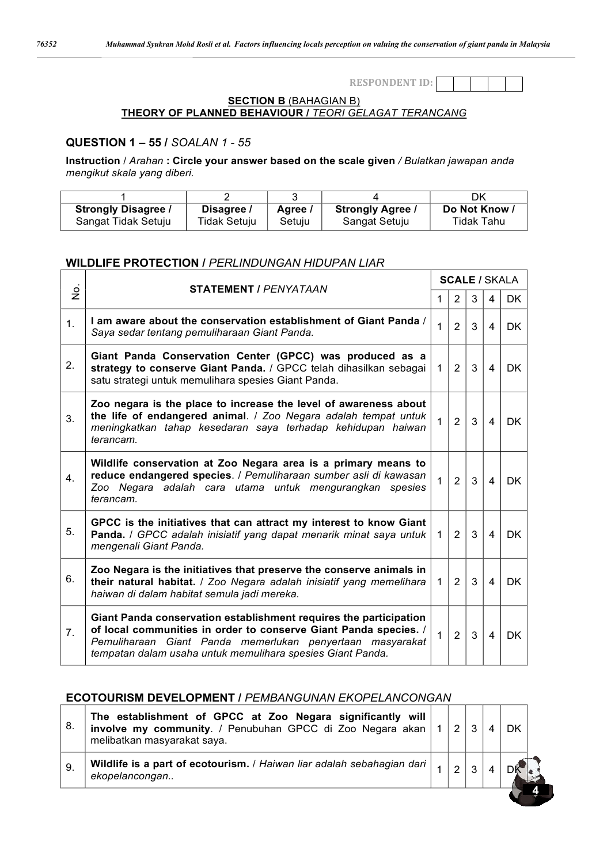### **RESPONDENT ID:**

| <b>SECTION B (BAHAGIAN B)</b>                                |  |
|--------------------------------------------------------------|--|
| <b>THEORY OF PLANNED BEHAVIOUR / TEORI GELAGAT TERANCANG</b> |  |

## **QUESTION 1 – 55 /** *SOALAN 1 - 55*

**Instruction** / *Arahan* **: Circle your answer based on the scale given** */ Bulatkan jawapan anda mengikut skala yang diberi.*

|                            |              |         |                         | DK            |
|----------------------------|--------------|---------|-------------------------|---------------|
| <b>Strongly Disagree /</b> | Disagree /   | Agree / | <b>Strongly Agree /</b> | Do Not Know / |
| Sangat Tidak Setuju        | Tidak Setuiu | Setuiu  | Sangat Setuju           | Tidak Tahu    |

### **WILDLIFE PROTECTION /** *PERLINDUNGAN HIDUPAN LIAR*

|                | <b>STATEMENT / PENYATAAN</b>                                                                                                                                                                                                                                     | <b>SCALE / SKALA</b> |                |   |                         |     |  |  |
|----------------|------------------------------------------------------------------------------------------------------------------------------------------------------------------------------------------------------------------------------------------------------------------|----------------------|----------------|---|-------------------------|-----|--|--|
| ş              |                                                                                                                                                                                                                                                                  | 1                    | 2              | 3 | 4                       | DK. |  |  |
| 1.             | I am aware about the conservation establishment of Giant Panda /<br>Saya sedar tentang pemuliharaan Giant Panda.                                                                                                                                                 | 1                    | $\overline{2}$ | 3 | 4                       | DK. |  |  |
| 2.             | Giant Panda Conservation Center (GPCC) was produced as a<br>strategy to conserve Giant Panda. / GPCC telah dihasilkan sebagai<br>satu strategi untuk memulihara spesies Giant Panda.                                                                             | $\mathbf 1$          | 2              | 3 | 4                       | DK. |  |  |
| $3_{-}$        | Zoo negara is the place to increase the level of awareness about<br>the life of endangered animal. / Zoo Negara adalah tempat untuk<br>meningkatkan tahap kesedaran saya terhadap kehidupan haiwan<br>terancam.                                                  | 1                    | 2              | 3 | $\overline{\mathbf{4}}$ | DK. |  |  |
| $\mathbf{4}$   | Wildlife conservation at Zoo Negara area is a primary means to<br>reduce endangered species. / Pemuliharaan sumber asli di kawasan<br>Zoo Negara adalah cara utama untuk mengurangkan spesies<br>terancam.                                                       | $\mathbf{1}$         | 2              | 3 | 4                       | DK. |  |  |
| 5.             | GPCC is the initiatives that can attract my interest to know Giant<br>Panda. / GPCC adalah inisiatif yang dapat menarik minat saya untuk<br>mengenali Giant Panda.                                                                                               | $\mathbf 1$          | 2              | 3 | 4                       | DK. |  |  |
| 6.             | Zoo Negara is the initiatives that preserve the conserve animals in<br>their natural habitat. / Zoo Negara adalah inisiatif yang memelihara<br>haiwan di dalam habitat semula jadi mereka.                                                                       | $\mathbf 1$          | $\overline{2}$ | 3 | 4                       | DK. |  |  |
| 7 <sub>1</sub> | Giant Panda conservation establishment requires the participation<br>of local communities in order to conserve Giant Panda species. /<br>Pemuliharaan Giant Panda memerlukan penyertaan masyarakat<br>tempatan dalam usaha untuk memulihara spesies Giant Panda. | 1                    | $\overline{2}$ | 3 | 4                       | DK. |  |  |

## **ECOTOURISM DEVELOPMENT /** *PEMBANGUNAN EKOPELANCONGAN*

| -8. | The establishment of GPCC at Zoo Negara significantly will<br>involve my community. / Penubuhan GPCC di Zoo Negara akan $ 1 2 3$<br>melibatkan masyarakat saya. |  |  | <b>DK</b> |
|-----|-----------------------------------------------------------------------------------------------------------------------------------------------------------------|--|--|-----------|
| 9.  | Wildlife is a part of ecotourism. / Haiwan liar adalah sebahagian dari  <br>ekopelancongan                                                                      |  |  |           |
|     |                                                                                                                                                                 |  |  |           |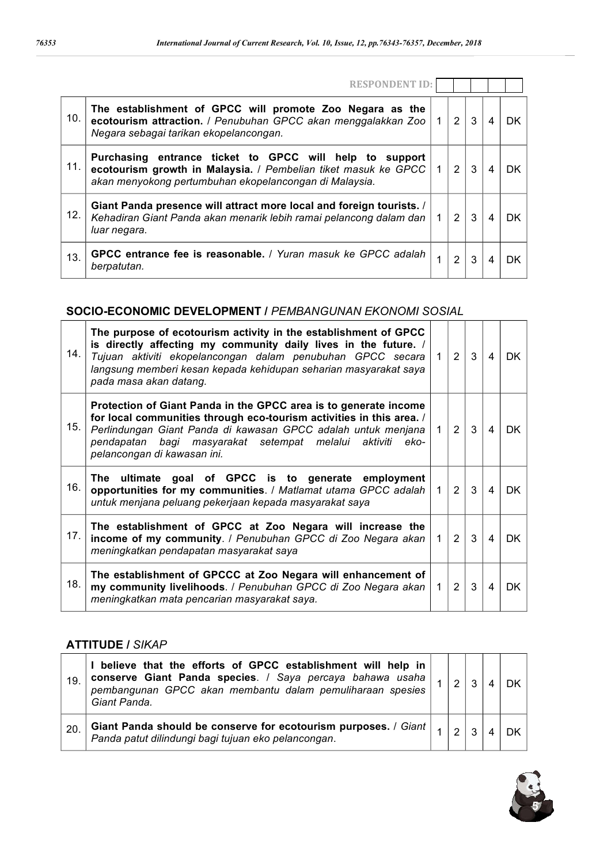|     | <b>RESPONDENT ID:</b>                                                                                                                                                               |                |   |    |
|-----|-------------------------------------------------------------------------------------------------------------------------------------------------------------------------------------|----------------|---|----|
| 10. | The establishment of GPCC will promote Zoo Negara as the<br>ecotourism attraction. / Penubuhan GPCC akan menggalakkan Zoo   1<br>Negara sebagai tarikan ekopelancongan.             | $\overline{2}$ | 3 | DΚ |
| 11. | Purchasing entrance ticket to GPCC will help to support<br>ecotourism growth in Malaysia. / Pembelian tiket masuk ke GPCC<br>akan menyokong pertumbuhan ekopelancongan di Malaysia. | $\overline{2}$ | 3 | DK |
| 12. | Giant Panda presence will attract more local and foreign tourists. /<br>Kehadiran Giant Panda akan menarik lebih ramai pelancong dalam dan<br>luar negara.                          | $\overline{2}$ | 3 | DК |
| 13. | GPCC entrance fee is reasonable. / Yuran masuk ke GPCC adalah<br>berpatutan.                                                                                                        | 2              | 3 | DK |

## **SOCIO-ECONOMIC DEVELOPMENT /** *PEMBANGUNAN EKONOMI SOSIAL*

| 14. | The purpose of ecotourism activity in the establishment of GPCC<br>is directly affecting my community daily lives in the future. /<br>Tujuan aktiviti ekopelancongan dalam penubuhan GPCC secara<br>langsung memberi kesan kepada kehidupan seharian masyarakat saya<br>pada masa akan datang.        | $\overline{1}$ | 2 <sup>1</sup> | $\overline{3}$ | $\overline{\mathcal{A}}$ | DK. |
|-----|-------------------------------------------------------------------------------------------------------------------------------------------------------------------------------------------------------------------------------------------------------------------------------------------------------|----------------|----------------|----------------|--------------------------|-----|
| 15. | Protection of Giant Panda in the GPCC area is to generate income<br>for local communities through eco-tourism activities in this area. /<br>Perlindungan Giant Panda di kawasan GPCC adalah untuk menjana<br>pendapatan bagi masyarakat setempat melalui aktiviti eko-<br>pelancongan di kawasan ini. | $\overline{1}$ | 2              | 3              | 4                        | DK. |
| 16. | The ultimate goal of GPCC is to generate employment<br>opportunities for my communities. / Matlamat utama GPCC adalah<br>untuk menjana peluang pekerjaan kepada masyarakat saya                                                                                                                       | $\overline{1}$ | 2              | 3              | 4                        | DK. |
| 17. | The establishment of GPCC at Zoo Negara will increase the<br>income of my community. / Penubuhan GPCC di Zoo Negara akan<br>meningkatkan pendapatan masyarakat saya                                                                                                                                   | $\overline{1}$ | $\mathcal{P}$  | 3              | 4                        | DK. |
| 18. | The establishment of GPCCC at Zoo Negara will enhancement of<br>my community livelihoods. / Penubuhan GPCC di Zoo Negara akan<br>meningkatkan mata pencarian masyarakat saya.                                                                                                                         | $\mathbf{1}$   | 2              | 3              | 4                        | DK. |

## **ATTITUDE /** *SIKAP*

| 19 | believe that the efforts of GPCC establishment will help in<br>conserve Giant Panda species. / Saya percaya bahawa usaha pembangunan GPCC akan membantu dalam pemuliharaan spesies<br>Giant Panda. |  |  |           |
|----|----------------------------------------------------------------------------------------------------------------------------------------------------------------------------------------------------|--|--|-----------|
| 20 | Giant Panda should be conserve for ecotourism purposes. / Giant $\vert A \vert_{\alpha}$<br>Panda patut dilindungi bagi tujuan eko pelancongan.                                                    |  |  | <b>DK</b> |

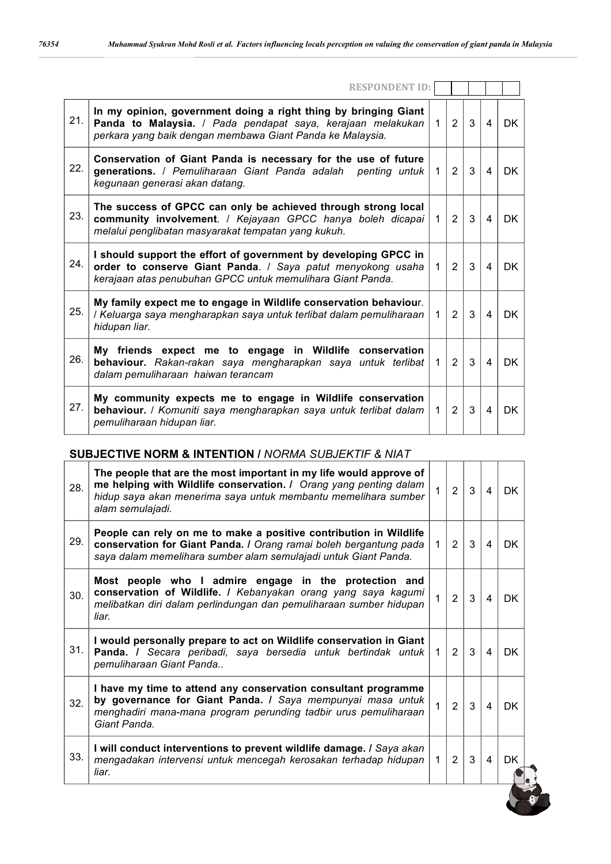|     | <b>RESPONDENT ID:</b>                                                                                                                                                                        |              |                |   |                          |           |
|-----|----------------------------------------------------------------------------------------------------------------------------------------------------------------------------------------------|--------------|----------------|---|--------------------------|-----------|
| 21. | In my opinion, government doing a right thing by bringing Giant<br>Panda to Malaysia. / Pada pendapat saya, kerajaan melakukan<br>perkara yang baik dengan membawa Giant Panda ke Malaysia.  | $\mathbf{1}$ | $\overline{2}$ | 3 | 4                        | <b>DK</b> |
| 22. | Conservation of Giant Panda is necessary for the use of future<br>generations. / Pemuliharaan Giant Panda adalah<br>penting untuk<br>kegunaan generasi akan datang.                          | $\mathbf{1}$ | $\overline{2}$ | 3 | $\overline{\mathcal{A}}$ | <b>DK</b> |
| 23. | The success of GPCC can only be achieved through strong local<br>community involvement. / Kejayaan GPCC hanya boleh dicapai<br>melalui penglibatan masyarakat tempatan yang kukuh.           | $\mathbf{1}$ | 2              | 3 | $\overline{4}$           | <b>DK</b> |
| 24. | I should support the effort of government by developing GPCC in<br>order to conserve Giant Panda. / Saya patut menyokong usaha<br>kerajaan atas penubuhan GPCC untuk memulihara Giant Panda. | $\mathbf 1$  | 2              | 3 | $\overline{4}$           | <b>DK</b> |
| 25. | My family expect me to engage in Wildlife conservation behaviour.<br>/ Keluarga saya mengharapkan saya untuk terlibat dalam pemuliharaan<br>hidupan liar.                                    | $\mathbf{1}$ | $\overline{2}$ | 3 | $\overline{\mathbf{A}}$  | <b>DK</b> |
| 26. | My friends expect me to engage in Wildlife<br>conservation<br>behaviour. Rakan-rakan saya mengharapkan saya untuk terlibat<br>dalam pemuliharaan haiwan terancam                             | $\mathbf 1$  | $\overline{2}$ | 3 | $\overline{\mathcal{A}}$ | <b>DK</b> |
| 27. | My community expects me to engage in Wildlife conservation<br>behaviour. / Komuniti saya mengharapkan saya untuk terlibat dalam<br>pemuliharaan hidupan liar.                                | $\mathbf{1}$ | $\overline{2}$ | 3 | 4                        | DK        |

## **SUBJECTIVE NORM & INTENTION /** *NORMA SUBJEKTIF & NIAT*

| 28. | The people that are the most important in my life would approve of<br>me helping with Wildlife conservation. I Orang yang penting dalam<br>hidup saya akan menerima saya untuk membantu memelihara sumber<br>alam semulajadi. | $\mathbf{1}$ | $\overline{2}$ | 3            | $\overline{4}$          | DK.       |
|-----|-------------------------------------------------------------------------------------------------------------------------------------------------------------------------------------------------------------------------------|--------------|----------------|--------------|-------------------------|-----------|
| 29. | People can rely on me to make a positive contribution in Wildlife<br>conservation for Giant Panda. I Orang ramai boleh bergantung pada<br>saya dalam memelihara sumber alam semulajadi untuk Giant Panda.                     | $\mathbf{1}$ | 2              | 3            | 4                       | DK.       |
| 30. | Most people who I admire engage in the protection and<br>conservation of Wildlife. / Kebanyakan orang yang saya kagumi<br>melibatkan diri dalam perlindungan dan pemuliharaan sumber hidupan<br>liar.                         |              | $\overline{2}$ | 3            | 4                       | DK.       |
| 31. | I would personally prepare to act on Wildlife conservation in Giant<br>Panda. I Secara peribadi, saya bersedia untuk bertindak untuk<br>pemuliharaan Giant Panda                                                              | $\mathbf{1}$ | $\overline{2}$ | 3            | $\overline{\mathbf{4}}$ | DK.       |
| 32. | I have my time to attend any conservation consultant programme<br>by governance for Giant Panda. / Saya mempunyai masa untuk<br>menghadiri mana-mana program perunding tadbir urus pemuliharaan<br>Giant Panda.               | 1            | $\overline{2}$ | $\mathbf{3}$ | $\overline{4}$          | DK.       |
| 33. | I will conduct interventions to prevent wildlife damage. I Saya akan<br>mengadakan intervensi untuk mencegah kerosakan terhadap hidupan<br>liar.                                                                              | $\mathbf{1}$ | $\overline{2}$ | 3            | $\overline{4}$          | <b>DK</b> |
|     |                                                                                                                                                                                                                               |              |                |              |                         |           |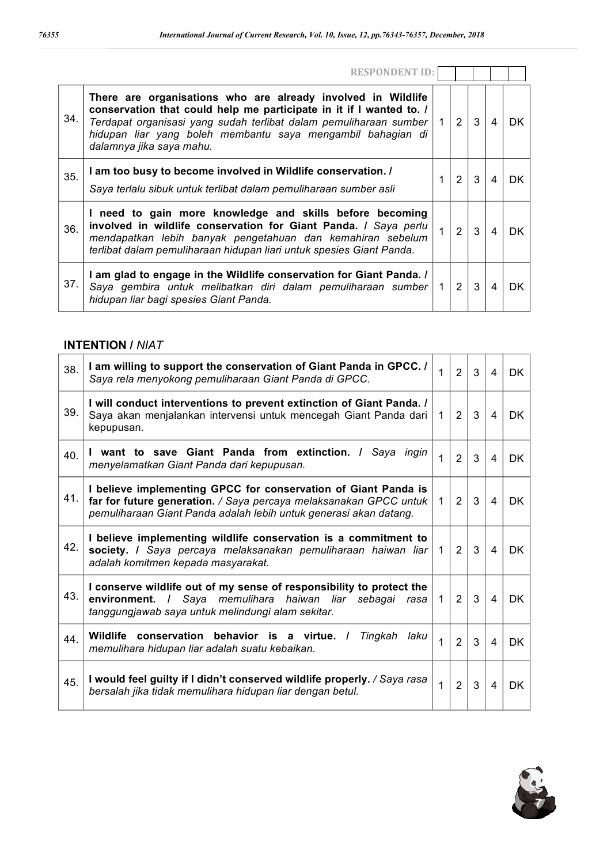|     | <b>RESPONDENT ID:</b>                                                                                                                                                                                                                                                                               |               |   |   |     |
|-----|-----------------------------------------------------------------------------------------------------------------------------------------------------------------------------------------------------------------------------------------------------------------------------------------------------|---------------|---|---|-----|
| 34. | There are organisations who are already involved in Wildlife<br>conservation that could help me participate in it if I wanted to. /<br>Terdapat organisasi yang sudah terlibat dalam pemuliharaan sumber<br>hidupan liar yang boleh membantu saya mengambil bahagian di<br>dalamnya jika saya mahu. | 2             | 3 | 4 | DK. |
| 35. | I am too busy to become involved in Wildlife conservation. /<br>Saya terlalu sibuk untuk terlibat dalam pemuliharaan sumber asli                                                                                                                                                                    | 2             | 3 | 4 | DK  |
| 36. | I need to gain more knowledge and skills before becoming<br>involved in wildlife conservation for Giant Panda. / Saya perlu<br>mendapatkan lebih banyak pengetahuan dan kemahiran sebelum<br>terlibat dalam pemuliharaan hidupan liari untuk spesies Giant Panda.                                   | $\mathcal{P}$ | 3 | 4 | DK  |
| 37. | I am glad to engage in the Wildlife conservation for Giant Panda. /<br>Saya gembira untuk melibatkan diri dalam pemuliharaan sumber<br>hidupan liar bagi spesies Giant Panda.                                                                                                                       | 2             | 3 | 4 | DK  |

# **INTENTION /** *NIAT*

| 38. | I am willing to support the conservation of Giant Panda in GPCC. /<br>Saya rela menyokong pemuliharaan Giant Panda di GPCC.                                                                              | 1            | $\overline{2}$ | 3 | 4 | <b>DK</b> |
|-----|----------------------------------------------------------------------------------------------------------------------------------------------------------------------------------------------------------|--------------|----------------|---|---|-----------|
| 39. | I will conduct interventions to prevent extinction of Giant Panda. /<br>Saya akan menjalankan intervensi untuk mencegah Giant Panda dari<br>kepupusan.                                                   | $\mathbf{1}$ | 2              | 3 | 4 | <b>DK</b> |
| 40. | want to save Giant Panda from extinction. I Saya ingin<br>menyelamatkan Giant Panda dari kepupusan.                                                                                                      | 1            | $\overline{2}$ | 3 | 4 | DK.       |
| 41. | I believe implementing GPCC for conservation of Giant Panda is<br>far for future generation. / Saya percaya melaksanakan GPCC untuk<br>pemuliharaan Giant Panda adalah lebih untuk generasi akan datang. | $\mathbf{1}$ | 2              | 3 | 4 | DK.       |
| 42. | I believe implementing wildlife conservation is a commitment to<br>society. I Saya percaya melaksanakan pemuliharaan haiwan liar<br>adalah komitmen kepada masyarakat.                                   | 1            | 2              | 3 | 4 | DK.       |
| 43. | I conserve wildlife out of my sense of responsibility to protect the<br>Saya memulihara haiwan liar<br>environment. /<br>sebagai<br>rasa<br>tanggungjawab saya untuk melindungi alam sekitar.            | 1            | 2              | 3 | 4 | <b>DK</b> |
| 44. | Wildlife conservation behavior is a virtue. /<br>Tingkah laku<br>memulihara hidupan liar adalah suatu kebaikan.                                                                                          | 1            | $\overline{2}$ | 3 | 4 | <b>DK</b> |
| 45. | I would feel guilty if I didn't conserved wildlife properly. / Saya rasa<br>bersalah jika tidak memulihara hidupan liar dengan betul.                                                                    | 1            | $\overline{2}$ | 3 | 4 | <b>DK</b> |

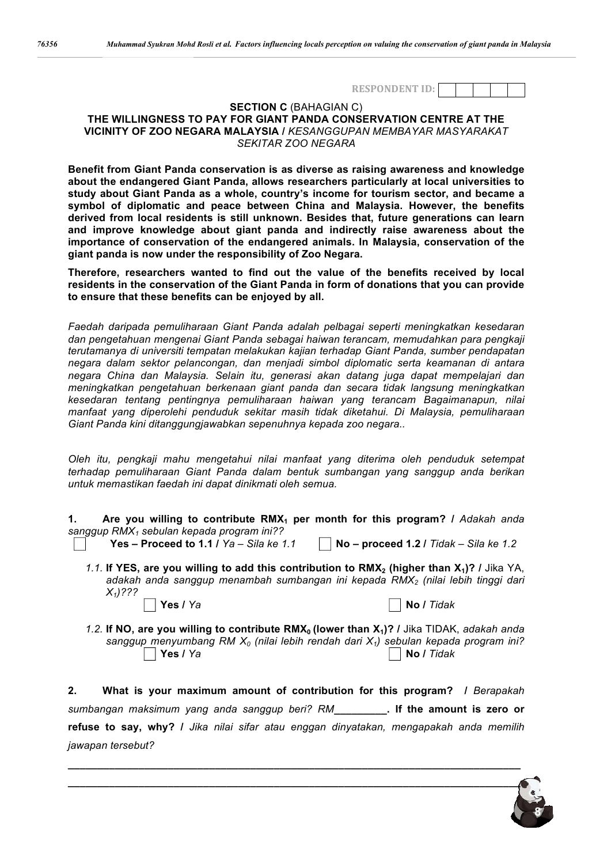| <b>RESPONDENT ID:</b> |  |  |  |
|-----------------------|--|--|--|

#### **SECTION C** (BAHAGIAN C)

#### **THE WILLINGNESS TO PAY FOR GIANT PANDA CONSERVATION CENTRE AT THE VICINITY OF ZOO NEGARA MALAYSIA /** *KESANGGUPAN MEMBAYAR MASYARAKAT SEKITAR ZOO NEGARA*

**Benefit from Giant Panda conservation is as diverse as raising awareness and knowledge about the endangered Giant Panda, allows researchers particularly at local universities to study about Giant Panda as a whole, country's income for tourism sector, and became a symbol of diplomatic and peace between China and Malaysia. However, the benefits derived from local residents is still unknown. Besides that, future generations can learn and improve knowledge about giant panda and indirectly raise awareness about the importance of conservation of the endangered animals. In Malaysia, conservation of the giant panda is now under the responsibility of Zoo Negara.**

**Therefore, researchers wanted to find out the value of the benefits received by local residents in the conservation of the Giant Panda in form of donations that you can provide to ensure that these benefits can be enjoyed by all.**

*Faedah daripada pemuliharaan Giant Panda adalah pelbagai seperti meningkatkan kesedaran dan pengetahuan mengenai Giant Panda sebagai haiwan terancam, memudahkan para pengkaji terutamanya di universiti tempatan melakukan kajian terhadap Giant Panda, sumber pendapatan negara dalam sektor pelancongan, dan menjadi simbol diplomatic serta keamanan di antara negara China dan Malaysia. Selain itu, generasi akan datang juga dapat mempelajari dan meningkatkan pengetahuan berkenaan giant panda dan secara tidak langsung meningkatkan kesedaran tentang pentingnya pemuliharaan haiwan yang terancam Bagaimanapun, nilai manfaat yang diperolehi penduduk sekitar masih tidak diketahui. Di Malaysia, pemuliharaan Giant Panda kini ditanggungjawabkan sepenuhnya kepada zoo negara..*

*Oleh itu, pengkaji mahu mengetahui nilai manfaat yang diterima oleh penduduk setempat terhadap pemuliharaan Giant Panda dalam bentuk sumbangan yang sanggup anda berikan untuk memastikan faedah ini dapat dinikmati oleh semua.*

|  |  | Are you willing to contribute RMX <sub>1</sub> per month for this program? <i>I Adakah anda</i> |  |  |  |  |  |
|--|--|-------------------------------------------------------------------------------------------------|--|--|--|--|--|
|  |  | sanggup RMX <sub>1</sub> sebulan kepada program ini??                                           |  |  |  |  |  |

Yes - Proceed to 1.1 / Ya - Sila ke 1.1  $\Box$  No - proceed 1.2 / Tidak - Sila ke 1.2

*1.1.* **If YES, are you willing to add this contribution to RMX2 (higher than X1)? /** Jika YA, *adakah anda sanggup menambah sumbangan ini kepada RMX2 (nilai lebih tinggi dari X1)???*

**Yes /** *Ya* **No /** *Tidak*

*1.2.* **If NO, are you willing to contribute RMX0 (lower than X1)? /** Jika TIDAK, *adakah anda sanggup menyumbang RM X0 (nilai lebih rendah dari X1) sebulan kepada program ini?* **Yes /** *Ya* **No /** *Tidak*

**2. What is your maximum amount of contribution for this program? /** *Berapakah sumbangan maksimum yang anda sanggup beri? RM***\_\_\_\_\_\_\_\_\_. If the amount is zero or refuse to say, why? /** *Jika nilai sifar atau enggan dinyatakan, mengapakah anda memilih jawapan tersebut?*

**\_\_\_\_\_\_\_\_\_\_\_\_\_\_\_\_\_\_\_\_\_\_\_\_\_\_\_\_\_\_\_\_\_\_\_\_\_\_\_\_\_\_\_\_\_\_\_\_\_\_\_\_\_\_\_\_\_\_\_\_\_\_\_\_\_\_\_\_\_\_\_\_\_\_\_\_\_**